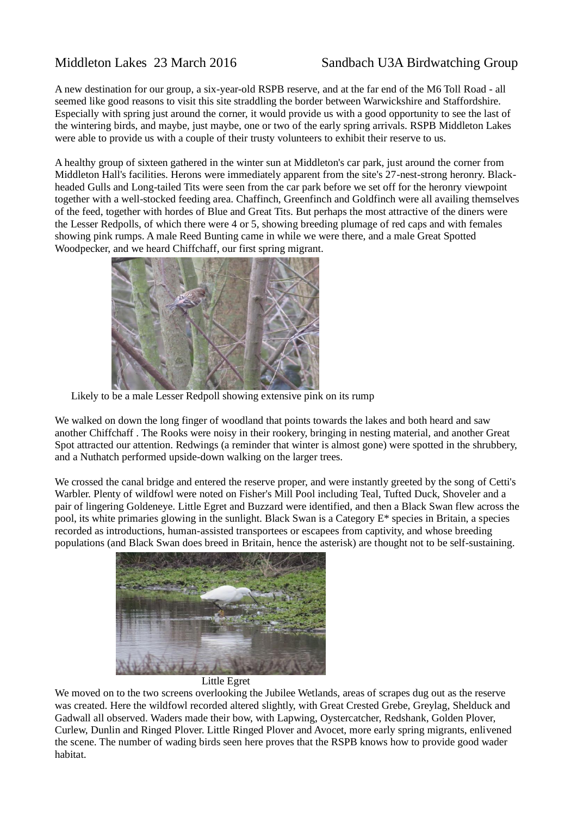## Middleton Lakes 23 March 2016 Sandbach U3A Birdwatching Group

A new destination for our group, a six-year-old RSPB reserve, and at the far end of the M6 Toll Road - all seemed like good reasons to visit this site straddling the border between Warwickshire and Staffordshire. Especially with spring just around the corner, it would provide us with a good opportunity to see the last of the wintering birds, and maybe, just maybe, one or two of the early spring arrivals. RSPB Middleton Lakes were able to provide us with a couple of their trusty volunteers to exhibit their reserve to us.

A healthy group of sixteen gathered in the winter sun at Middleton's car park, just around the corner from Middleton Hall's facilities. Herons were immediately apparent from the site's 27-nest-strong heronry. Blackheaded Gulls and Long-tailed Tits were seen from the car park before we set off for the heronry viewpoint together with a well-stocked feeding area. Chaffinch, Greenfinch and Goldfinch were all availing themselves of the feed, together with hordes of Blue and Great Tits. But perhaps the most attractive of the diners were the Lesser Redpolls, of which there were 4 or 5, showing breeding plumage of red caps and with females showing pink rumps. A male Reed Bunting came in while we were there, and a male Great Spotted Woodpecker, and we heard Chiffchaff, our first spring migrant.



Likely to be a male Lesser Redpoll showing extensive pink on its rump

We walked on down the long finger of woodland that points towards the lakes and both heard and saw another Chiffchaff . The Rooks were noisy in their rookery, bringing in nesting material, and another Great Spot attracted our attention. Redwings (a reminder that winter is almost gone) were spotted in the shrubbery, and a Nuthatch performed upside-down walking on the larger trees.

We crossed the canal bridge and entered the reserve proper, and were instantly greeted by the song of Cetti's Warbler. Plenty of wildfowl were noted on Fisher's Mill Pool including Teal, Tufted Duck, Shoveler and a pair of lingering Goldeneye. Little Egret and Buzzard were identified, and then a Black Swan flew across the pool, its white primaries glowing in the sunlight. Black Swan is a Category E\* species in Britain, a species recorded as introductions, human-assisted transportees or escapees from captivity, and whose breeding populations (and Black Swan does breed in Britain, hence the asterisk) are thought not to be self-sustaining.





We moved on to the two screens overlooking the Jubilee Wetlands, areas of scrapes dug out as the reserve was created. Here the wildfowl recorded altered slightly, with Great Crested Grebe, Greylag, Shelduck and Gadwall all observed. Waders made their bow, with Lapwing, Oystercatcher, Redshank, Golden Plover, Curlew, Dunlin and Ringed Plover. Little Ringed Plover and Avocet, more early spring migrants, enlivened the scene. The number of wading birds seen here proves that the RSPB knows how to provide good wader habitat.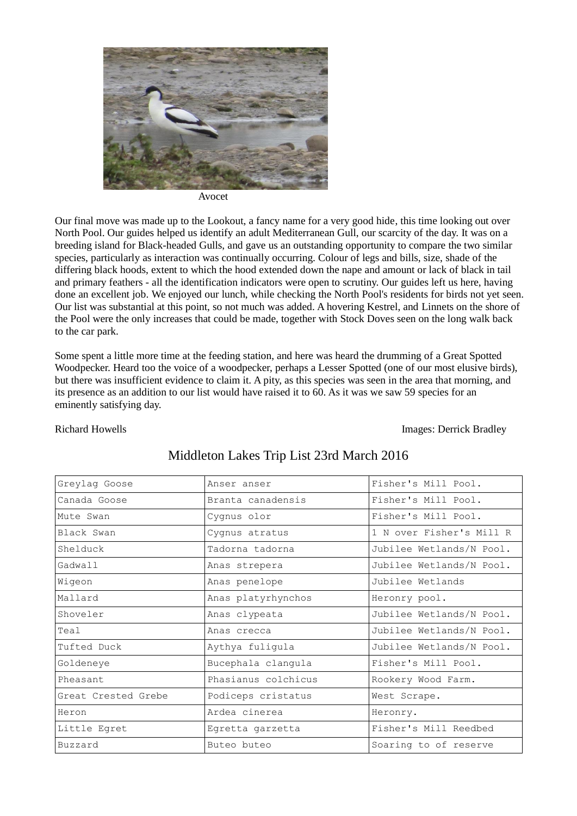

Avocet

Our final move was made up to the Lookout, a fancy name for a very good hide, this time looking out over North Pool. Our guides helped us identify an adult Mediterranean Gull, our scarcity of the day. It was on a breeding island for Black-headed Gulls, and gave us an outstanding opportunity to compare the two similar species, particularly as interaction was continually occurring. Colour of legs and bills, size, shade of the differing black hoods, extent to which the hood extended down the nape and amount or lack of black in tail and primary feathers - all the identification indicators were open to scrutiny. Our guides left us here, having done an excellent job. We enjoyed our lunch, while checking the North Pool's residents for birds not yet seen. Our list was substantial at this point, so not much was added. A hovering Kestrel, and Linnets on the shore of the Pool were the only increases that could be made, together with Stock Doves seen on the long walk back to the car park.

Some spent a little more time at the feeding station, and here was heard the drumming of a Great Spotted Woodpecker. Heard too the voice of a woodpecker, perhaps a Lesser Spotted (one of our most elusive birds), but there was insufficient evidence to claim it. A pity, as this species was seen in the area that morning, and its presence as an addition to our list would have raised it to 60. As it was we saw 59 species for an eminently satisfying day.

Richard Howells Images: Derrick Bradley

| Greylag Goose       | Anser anser         | Fisher's Mill Pool.      |
|---------------------|---------------------|--------------------------|
| Canada Goose        | Branta canadensis   | Fisher's Mill Pool.      |
| Mute Swan           | Cygnus olor         | Fisher's Mill Pool.      |
| Black Swan          | Cygnus atratus      | 1 N over Fisher's Mill R |
| Shelduck            | Tadorna tadorna     | Jubilee Wetlands/N Pool. |
| Gadwall             | Anas strepera       | Jubilee Wetlands/N Pool. |
| Wigeon              | Anas penelope       | Jubilee Wetlands         |
| Mallard             | Anas platyrhynchos  | Heronry pool.            |
| Shoveler            | Anas clypeata       | Jubilee Wetlands/N Pool. |
| Teal                | Anas crecca         | Jubilee Wetlands/N Pool. |
| Tufted Duck         | Aythya fuligula     | Jubilee Wetlands/N Pool. |
| Goldeneye           | Bucephala clangula  | Fisher's Mill Pool.      |
| Pheasant            | Phasianus colchicus | Rookery Wood Farm.       |
| Great Crested Grebe | Podiceps cristatus  | West Scrape.             |
| Heron               | Ardea cinerea       | Heronry.                 |
| Little Egret        | Egretta garzetta    | Fisher's Mill Reedbed    |
| Buzzard             | Buteo buteo         | Soaring to of reserve    |

## Middleton Lakes Trip List 23rd March 2016